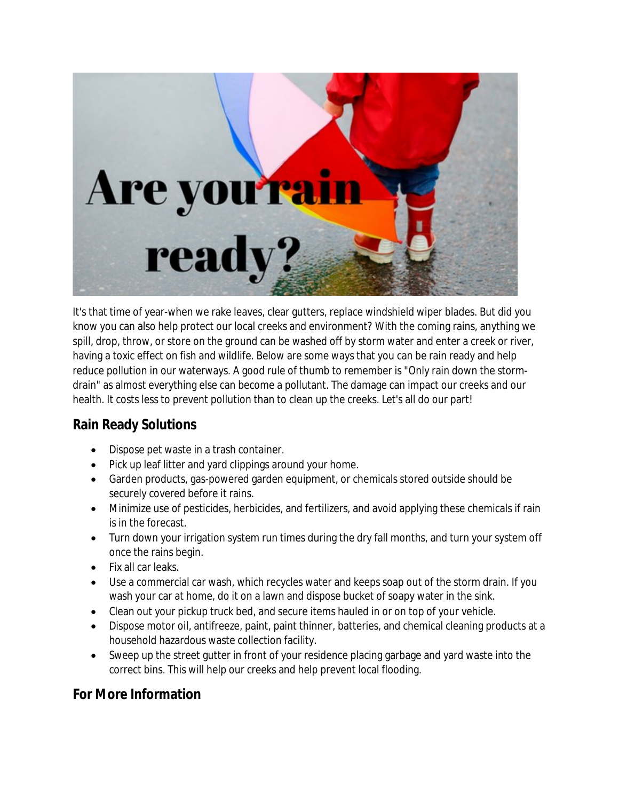

It's that time of year-when we rake leaves, clear gutters, replace windshield wiper blades. But did you know you can also help protect our local creeks and environment? With the coming rains, anything we spill, drop, throw, or store on the ground can be washed off by storm water and enter a creek or river, having a toxic effect on fish and wildlife. Below are some ways that you can be rain ready and help reduce pollution in our waterways. A good rule of thumb to remember is "Only rain down the stormdrain" as almost everything else can become a pollutant. The damage can impact our creeks and our health. It costs less to prevent pollution than to clean up the creeks. Let's all do our part!

## **Rain Ready Solutions**

- Dispose pet waste in a trash container.
- Pick up leaf litter and yard clippings around your home.
- Garden products, gas-powered garden equipment, or chemicals stored outside should be securely covered before it rains.
- Minimize use of pesticides, herbicides, and fertilizers, and avoid applying these chemicals if rain is in the forecast.
- Turn down your irrigation system run times during the dry fall months, and turn your system off once the rains begin.
- Fix all car leaks.
- Use a commercial car wash, which recycles water and keeps soap out of the storm drain. If you wash your car at home, do it on a lawn and dispose bucket of soapy water in the sink.
- Clean out your pickup truck bed, and secure items hauled in or on top of your vehicle.
- Dispose motor oil, antifreeze, paint, paint thinner, batteries, and chemical cleaning products at a household hazardous waste collection facility.
- Sweep up the street gutter in front of your residence placing garbage and yard waste into the correct bins. This will help our creeks and help prevent local flooding.

## **For More Information**